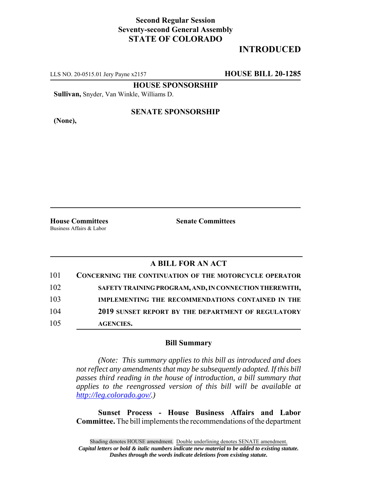## **Second Regular Session Seventy-second General Assembly STATE OF COLORADO**

# **INTRODUCED**

LLS NO. 20-0515.01 Jery Payne x2157 **HOUSE BILL 20-1285**

**HOUSE SPONSORSHIP**

**Sullivan,** Snyder, Van Winkle, Williams D.

**(None),**

#### **SENATE SPONSORSHIP**

**House Committees Senate Committees** Business Affairs & Labor

### **A BILL FOR AN ACT**

| 101 | <b>CONCERNING THE CONTINUATION OF THE MOTORCYCLE OPERATOR</b> |
|-----|---------------------------------------------------------------|
| 102 | SAFETY TRAINING PROGRAM, AND, IN CONNECTION THEREWITH,        |
| 103 | <b>IMPLEMENTING THE RECOMMENDATIONS CONTAINED IN THE</b>      |
| 104 | 2019 SUNSET REPORT BY THE DEPARTMENT OF REGULATORY            |
| 105 | <b>AGENCIES.</b>                                              |

#### **Bill Summary**

*(Note: This summary applies to this bill as introduced and does not reflect any amendments that may be subsequently adopted. If this bill passes third reading in the house of introduction, a bill summary that applies to the reengrossed version of this bill will be available at http://leg.colorado.gov/.)*

**Sunset Process - House Business Affairs and Labor Committee.** The bill implements the recommendations of the department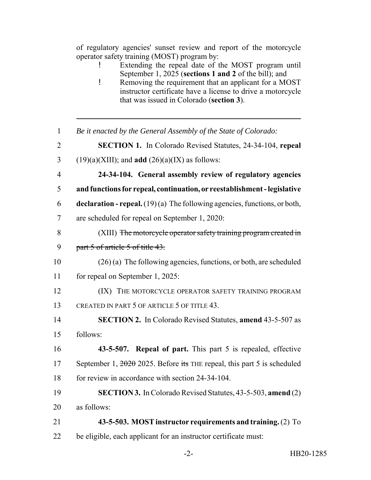of regulatory agencies' sunset review and report of the motorcycle operator safety training (MOST) program by:

- ! Extending the repeal date of the MOST program until September 1, 2025 (**sections 1 and 2** of the bill); and
- ! Removing the requirement that an applicant for a MOST instructor certificate have a license to drive a motorcycle that was issued in Colorado (**section 3**).
- *Be it enacted by the General Assembly of the State of Colorado:*
- **SECTION 1.** In Colorado Revised Statutes, 24-34-104, **repeal**
- 3 (19)(a)(XIII); and **add**  $(26)(a)(IX)$  as follows:
- **24-34-104. General assembly review of regulatory agencies**
- **and functions for repeal, continuation, or reestablishment legislative**
- **declaration repeal.** (19) (a) The following agencies, functions, or both,
- are scheduled for repeal on September 1, 2020:
- (XIII) The motorcycle operator safety training program created in 9 part 5 of article 5 of title 43.
- (26) (a) The following agencies, functions, or both, are scheduled for repeal on September 1, 2025:
- **(IX)** THE MOTORCYCLE OPERATOR SAFETY TRAINING PROGRAM CREATED IN PART 5 OF ARTICLE 5 OF TITLE 43.
- **SECTION 2.** In Colorado Revised Statutes, **amend** 43-5-507 as follows:
- **43-5-507. Repeal of part.** This part 5 is repealed, effective 17 September 1,  $\frac{2020}{2025}$ . Before its THE repeal, this part 5 is scheduled for review in accordance with section 24-34-104.
- **SECTION 3.** In Colorado Revised Statutes, 43-5-503, **amend** (2)
- as follows:
- **43-5-503. MOST instructor requirements and training.** (2) To
- be eligible, each applicant for an instructor certificate must: